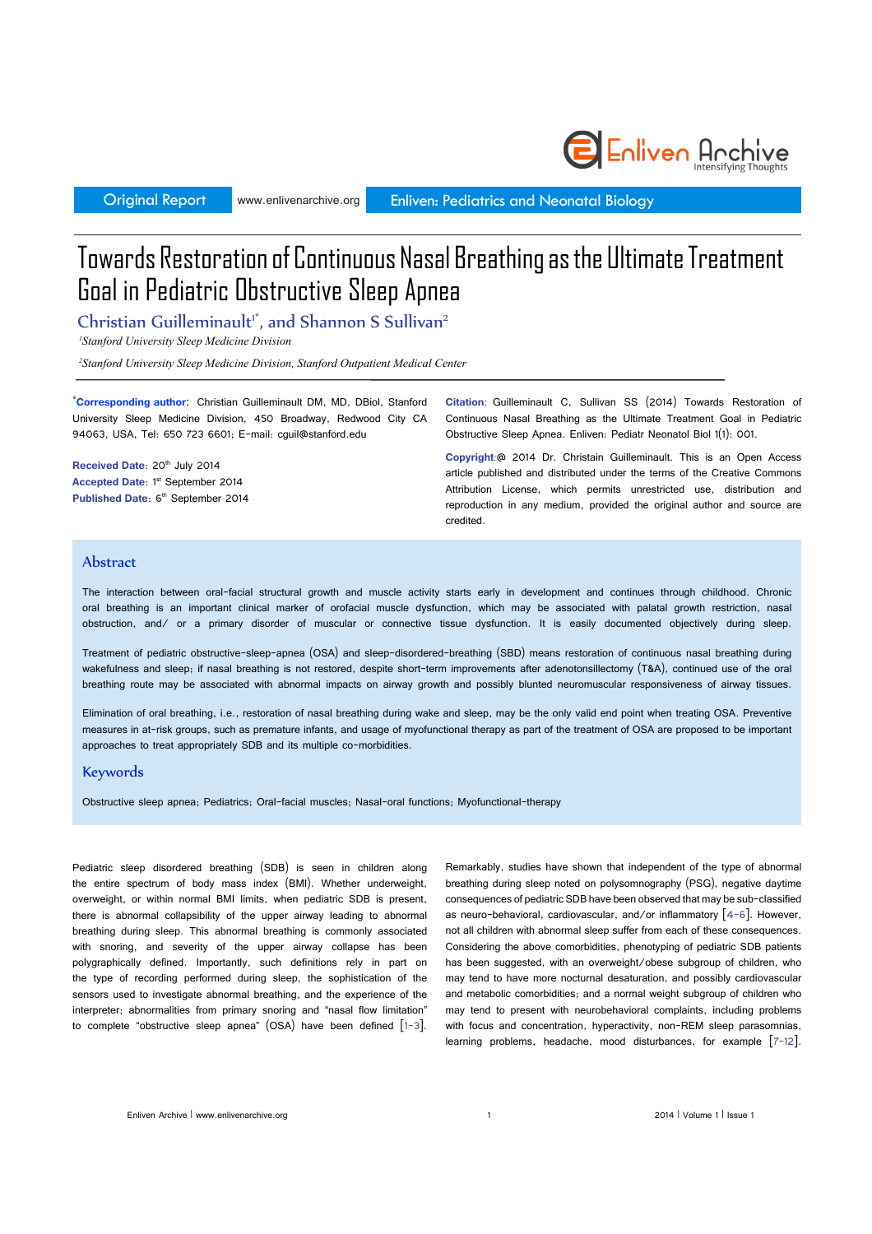www.enlivenarchive.org

Original Report **Enlivent Enliventy** Enliven: Pediatrics and Neonatal Biology

# Towards Restoration of Continuous Nasal Breathing as the Ultimate Treatment Goal in Pediatric Obstructive Sleep Apnea

Christian Guilleminault<sup>1\*</sup>, and Shannon S Sullivan<sup>2</sup>

*1 Stanford University Sleep Medicine Division*

*2 Stanford University Sleep Medicine Division, Stanford Outpatient Medical Center*

\* **Corresponding author**: Christian Guilleminault DM, MD, DBiol, Stanford University Sleep Medicine Division, 450 Broadway, Redwood City CA 94063, USA, Tel: 650 723 6601; E-mail: cguil@stanford.edu

**Received Date: 20th July 2014 Accepted Date: 1st September 2014 Published Date: 6<sup>th</sup> September 2014**  **Citation**: Guilleminault C, Sullivan SS (2014) Towards Restoration of Continuous Nasal Breathing as the Ultimate Treatment Goal in Pediatric Obstructive Sleep Apnea. Enliven: Pediatr Neonatol Biol 1(1): 001.

Enliven Anchive

**Copyright**:@ 2014 Dr. Christain Guilleminault. This is an Open Access article published and distributed under the terms of the Creative Commons Attribution License, which permits unrestricted use, distribution and reproduction in any medium, provided the original author and source are credited.

### **Abstract**

The interaction between oral-facial structural growth and muscle activity starts early in development and continues through childhood. Chronic oral breathing is an important clinical marker of orofacial muscle dysfunction, which may be associated with palatal growth restriction, nasal obstruction, and/ or a primary disorder of muscular or connective tissue dysfunction. It is easily documented objectively during sleep.

Treatment of pediatric obstructive-sleep-apnea (OSA) and sleep-disordered-breathing (SBD) means restoration of continuous nasal breathing during wakefulness and sleep; if nasal breathing is not restored, despite short-term improvements after adenotonsillectomy (T&A), continued use of the oral breathing route may be associated with abnormal impacts on airway growth and possibly blunted neuromuscular responsiveness of airway tissues.

Elimination of oral breathing, i.e., restoration of nasal breathing during wake and sleep, may be the only valid end point when treating OSA. Preventive measures in at-risk groups, such as premature infants, and usage of myofunctional therapy as part of the treatment of OSA are proposed to be important approaches to treat appropriately SDB and its multiple co-morbidities.

#### Keywords

Obstructive sleep apnea; Pediatrics; Oral-facial muscles; Nasal-oral functions; Myofunctional-therapy

Pediatric sleep disordered breathing (SDB) is seen in children along the entire spectrum of body mass index (BMI). Whether underweight, overweight, or within normal BMI limits, when pediatric SDB is present, there is abnormal collapsibility of the upper airway leading to abnormal breathing during sleep. This abnormal breathing is commonly associated with snoring, and severity of the upper airway collapse has been polygraphically defined. Importantly, such definitions rely in part on the type of recording performed during sleep, the sophistication of the sensors used to investigate abnormal breathing, and the experience of the interpreter; abnormalities from primary snoring and "nasal flow limitation" to complete "obstructive sleep apnea" (OSA) have been defined [1-3]. Remarkably, studies have shown that independent of the type of abnormal breathing during sleep noted on polysomnography (PSG), negative daytime consequences of pediatric SDB have been observed that may be sub-classified as neuro-behavioral, cardiovascular, and/or inflammatory  $\lceil 4-6 \rceil$ . However, not all children with abnormal sleep suffer from each of these consequences. Considering the above comorbidities, phenotyping of pediatric SDB patients has been suggested, with an overweight/obese subgroup of children, who may tend to have more nocturnal desaturation, and possibly cardiovascular and metabolic comorbidities; and a normal weight subgroup of children who may tend to present with neurobehavioral complaints, including problems with focus and concentration, hyperactivity, non-REM sleep parasomnias, learning problems, headache, mood disturbances, for example [7-12].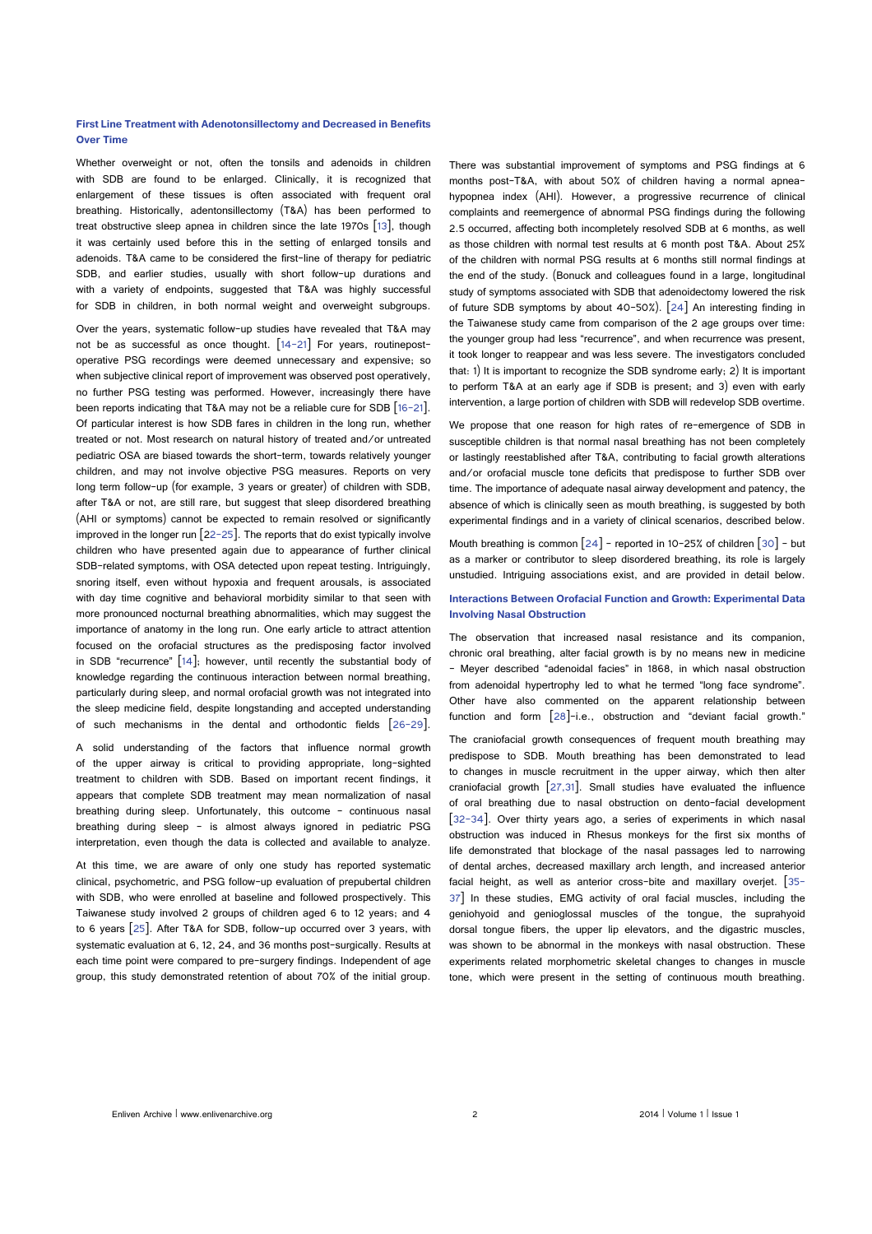#### **First Line Treatment with Adenotonsillectomy and Decreased in Benefits Over Time**

Whether overweight or not, often the tonsils and adenoids in children with SDB are found to be enlarged. Clinically, it is recognized that enlargement of these tissues is often associated with frequent oral breathing. Historically, adentonsillectomy (T&A) has been performed to treat obstructive sleep apnea in children since the late 1970s [13], though it was certainly used before this in the setting of enlarged tonsils and adenoids. T&A came to be considered the first-line of therapy for pediatric SDB, and earlier studies, usually with short follow-up durations and with a variety of endpoints, suggested that T&A was highly successful for SDB in children, in both normal weight and overweight subgroups.

Over the years, systematic follow-up studies have revealed that T&A may not be as successful as once thought.  $[14-21]$  For years, routinepostoperative PSG recordings were deemed unnecessary and expensive; so when subjective clinical report of improvement was observed post operatively, no further PSG testing was performed. However, increasingly there have been reports indicating that T&A may not be a reliable cure for SDB [16-21]. Of particular interest is how SDB fares in children in the long run, whether treated or not. Most research on natural history of treated and/or untreated pediatric OSA are biased towards the short-term, towards relatively younger children, and may not involve objective PSG measures. Reports on very long term follow-up (for example, 3 years or greater) of children with SDB, after T&A or not, are still rare, but suggest that sleep disordered breathing (AHI or symptoms) cannot be expected to remain resolved or significantly improved in the longer run  $\left[22-25\right]$ . The reports that do exist typically involve children who have presented again due to appearance of further clinical SDB-related symptoms, with OSA detected upon repeat testing. Intriguingly, snoring itself, even without hypoxia and frequent arousals, is associated with day time cognitive and behavioral morbidity similar to that seen with more pronounced nocturnal breathing abnormalities, which may suggest the importance of anatomy in the long run. One early article to attract attention focused on the orofacial structures as the predisposing factor involved in SDB "recurrence"  $[14]$ ; however, until recently the substantial body of knowledge regarding the continuous interaction between normal breathing, particularly during sleep, and normal orofacial growth was not integrated into the sleep medicine field, despite longstanding and accepted understanding of such mechanisms in the dental and orthodontic fields [26-29].

A solid understanding of the factors that influence normal growth of the upper airway is critical to providing appropriate, long-sighted treatment to children with SDB. Based on important recent findings, it appears that complete SDB treatment may mean normalization of nasal breathing during sleep. Unfortunately, this outcome – continuous nasal breathing during sleep - is almost always ignored in pediatric PSG interpretation, even though the data is collected and available to analyze.

At this time, we are aware of only one study has reported systematic clinical, psychometric, and PSG follow-up evaluation of prepubertal children with SDB, who were enrolled at baseline and followed prospectively. This Taiwanese study involved 2 groups of children aged 6 to 12 years; and 4 to 6 years [25]. After T&A for SDB, follow-up occurred over 3 years, with systematic evaluation at 6, 12, 24, and 36 months post-surgically. Results at each time point were compared to pre-surgery findings. Independent of age group, this study demonstrated retention of about 70% of the initial group.

There was substantial improvement of symptoms and PSG findings at 6 months post-T&A, with about 50% of children having a normal apneahypopnea index (AHI). However, a progressive recurrence of clinical complaints and reemergence of abnormal PSG findings during the following 2.5 occurred, affecting both incompletely resolved SDB at 6 months, as well as those children with normal test results at 6 month post T&A. About 25% of the children with normal PSG results at 6 months still normal findings at the end of the study. (Bonuck and colleagues found in a large, longitudinal study of symptoms associated with SDB that adenoidectomy lowered the risk of future SDB symptoms by about 40-50%). [24] An interesting finding in the Taiwanese study came from comparison of the 2 age groups over time: the younger group had less "recurrence", and when recurrence was present, it took longer to reappear and was less severe. The investigators concluded that: 1) It is important to recognize the SDB syndrome early; 2) It is important to perform T&A at an early age if SDB is present; and 3) even with early intervention, a large portion of children with SDB will redevelop SDB overtime.

We propose that one reason for high rates of re-emergence of SDB in susceptible children is that normal nasal breathing has not been completely or lastingly reestablished after T&A, contributing to facial growth alterations and/or orofacial muscle tone deficits that predispose to further SDB over time. The importance of adequate nasal airway development and patency, the absence of which is clinically seen as mouth breathing, is suggested by both experimental findings and in a variety of clinical scenarios, described below.

Mouth breathing is common  $\lceil 24 \rceil$  - reported in 10-25% of children  $\lceil 30 \rceil$  - but as a marker or contributor to sleep disordered breathing, its role is largely unstudied. Intriguing associations exist, and are provided in detail below.

#### **Interactions Between Orofacial Function and Growth: Experimental Data Involving Nasal Obstruction**

The observation that increased nasal resistance and its companion, chronic oral breathing, alter facial growth is by no means new in medicine - Meyer described "adenoidal facies" in 1868, in which nasal obstruction from adenoidal hypertrophy led to what he termed "long face syndrome". Other have also commented on the apparent relationship between function and form [28]-i.e., obstruction and "deviant facial growth."

The craniofacial growth consequences of frequent mouth breathing may predispose to SDB. Mouth breathing has been demonstrated to lead to changes in muscle recruitment in the upper airway, which then alter craniofacial growth [27,31]. Small studies have evaluated the influence of oral breathing due to nasal obstruction on dento-facial development [32-34]. Over thirty years ago, a series of experiments in which nasal obstruction was induced in Rhesus monkeys for the first six months of life demonstrated that blockage of the nasal passages led to narrowing of dental arches, decreased maxillary arch length, and increased anterior facial height, as well as anterior cross-bite and maxillary overjet. [35- 37] In these studies, EMG activity of oral facial muscles, including the geniohyoid and genioglossal muscles of the tongue, the suprahyoid dorsal tongue fibers, the upper lip elevators, and the digastric muscles, was shown to be abnormal in the monkeys with nasal obstruction. These experiments related morphometric skeletal changes to changes in muscle tone, which were present in the setting of continuous mouth breathing.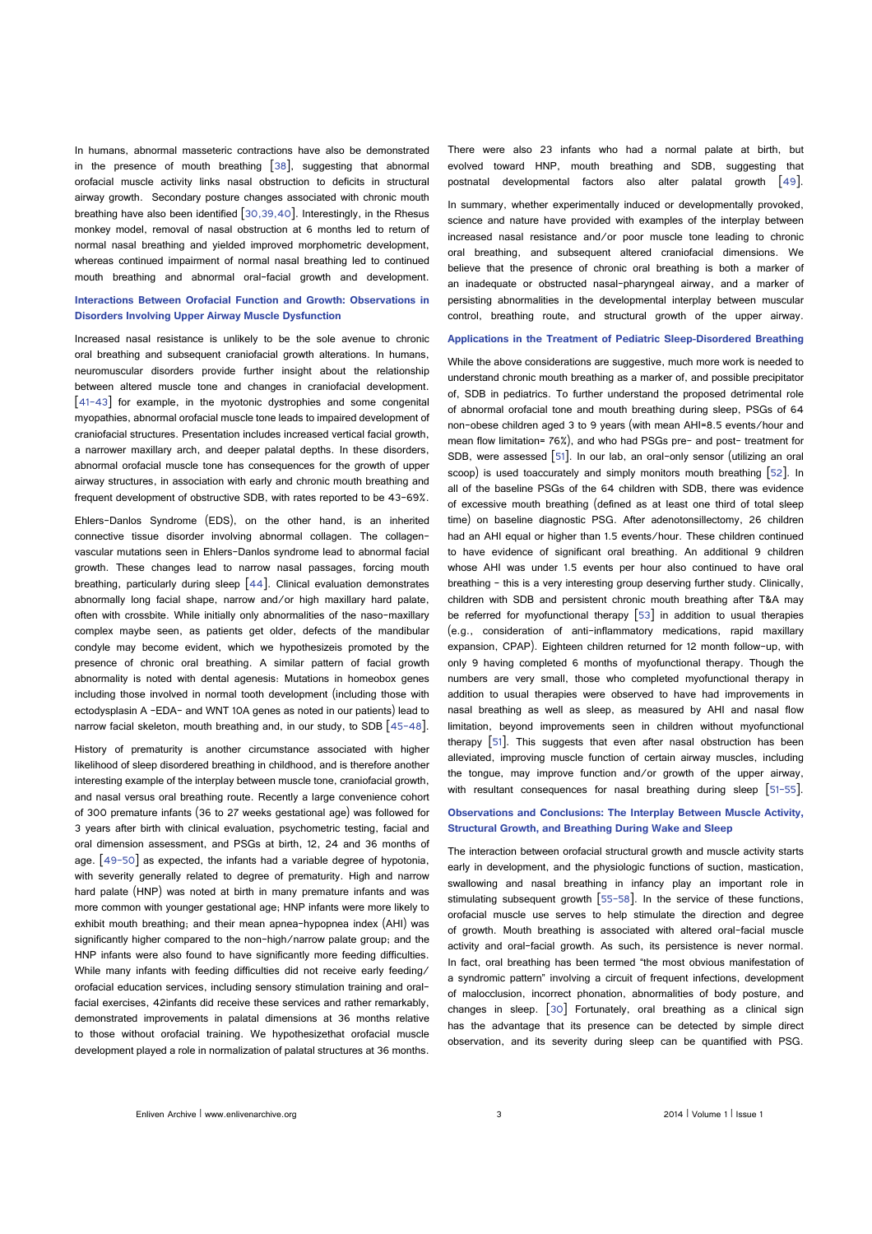In humans, abnormal masseteric contractions have also be demonstrated in the presence of mouth breathing [38], suggesting that abnormal orofacial muscle activity links nasal obstruction to deficits in structural airway growth. Secondary posture changes associated with chronic mouth breathing have also been identified [30,39,40]. Interestingly, in the Rhesus monkey model, removal of nasal obstruction at 6 months led to return of normal nasal breathing and yielded improved morphometric development, whereas continued impairment of normal nasal breathing led to continued mouth breathing and abnormal oral-facial growth and development.

#### **Interactions Between Orofacial Function and Growth: Observations in Disorders Involving Upper Airway Muscle Dysfunction**

Increased nasal resistance is unlikely to be the sole avenue to chronic oral breathing and subsequent craniofacial growth alterations. In humans, neuromuscular disorders provide further insight about the relationship between altered muscle tone and changes in craniofacial development. [41-43] for example, in the myotonic dystrophies and some congenital myopathies, abnormal orofacial muscle tone leads to impaired development of craniofacial structures. Presentation includes increased vertical facial growth, a narrower maxillary arch, and deeper palatal depths. In these disorders, abnormal orofacial muscle tone has consequences for the growth of upper airway structures, in association with early and chronic mouth breathing and frequent development of obstructive SDB, with rates reported to be 43-69%.

Ehlers-Danlos Syndrome (EDS), on the other hand, is an inherited connective tissue disorder involving abnormal collagen. The collagenvascular mutations seen in Ehlers-Danlos syndrome lead to abnormal facial growth. These changes lead to narrow nasal passages, forcing mouth breathing, particularly during sleep  $[44]$ . Clinical evaluation demonstrates abnormally long facial shape, narrow and/or high maxillary hard palate, often with crossbite. While initially only abnormalities of the naso-maxillary complex maybe seen, as patients get older, defects of the mandibular condyle may become evident, which we hypothesizeis promoted by the presence of chronic oral breathing. A similar pattern of facial growth abnormality is noted with dental agenesis: Mutations in homeobox genes including those involved in normal tooth development (including those with ectodysplasin A –EDA- and WNT 10A genes as noted in our patients) lead to narrow facial skeleton, mouth breathing and, in our study, to SDB [45-48].

History of prematurity is another circumstance associated with higher likelihood of sleep disordered breathing in childhood, and is therefore another interesting example of the interplay between muscle tone, craniofacial growth, and nasal versus oral breathing route. Recently a large convenience cohort of 300 premature infants (36 to 27 weeks gestational age) was followed for 3 years after birth with clinical evaluation, psychometric testing, facial and oral dimension assessment, and PSGs at birth, 12, 24 and 36 months of age. [49-50] as expected, the infants had a variable degree of hypotonia, with severity generally related to degree of prematurity. High and narrow hard palate (HNP) was noted at birth in many premature infants and was more common with younger gestational age; HNP infants were more likely to exhibit mouth breathing; and their mean apnea-hypopnea index (AHI) was significantly higher compared to the non-high/narrow palate group; and the HNP infants were also found to have significantly more feeding difficulties. While many infants with feeding difficulties did not receive early feeding/ orofacial education services, including sensory stimulation training and oralfacial exercises, 42infants did receive these services and rather remarkably, demonstrated improvements in palatal dimensions at 36 months relative to those without orofacial training. We hypothesizethat orofacial muscle development played a role in normalization of palatal structures at 36 months.

There were also 23 infants who had a normal palate at birth, but evolved toward HNP, mouth breathing and SDB, suggesting that postnatal developmental factors also alter palatal growth [49]. In summary, whether experimentally induced or developmentally provoked, science and nature have provided with examples of the interplay between increased nasal resistance and/or poor muscle tone leading to chronic oral breathing, and subsequent altered craniofacial dimensions. We believe that the presence of chronic oral breathing is both a marker of an inadequate or obstructed nasal-pharyngeal airway, and a marker of persisting abnormalities in the developmental interplay between muscular control, breathing route, and structural growth of the upper airway.

#### **Applications in the Treatment of Pediatric Sleep-Disordered Breathing**

While the above considerations are suggestive, much more work is needed to understand chronic mouth breathing as a marker of, and possible precipitator of, SDB in pediatrics. To further understand the proposed detrimental role of abnormal orofacial tone and mouth breathing during sleep, PSGs of 64 non-obese children aged 3 to 9 years (with mean AHI=8.5 events/hour and mean flow limitation= 76%), and who had PSGs pre- and post- treatment for SDB, were assessed [51]. In our lab, an oral-only sensor (utilizing an oral scoop) is used toaccurately and simply monitors mouth breathing [52]. In all of the baseline PSGs of the 64 children with SDB, there was evidence of excessive mouth breathing (defined as at least one third of total sleep time) on baseline diagnostic PSG. After adenotonsillectomy, 26 children had an AHI equal or higher than 1.5 events/hour. These children continued to have evidence of significant oral breathing. An additional 9 children whose AHI was under 1.5 events per hour also continued to have oral breathing – this is a very interesting group deserving further study. Clinically, children with SDB and persistent chronic mouth breathing after T&A may be referred for myofunctional therapy [53] in addition to usual therapies (e.g., consideration of anti-inflammatory medications, rapid maxillary expansion, CPAP). Eighteen children returned for 12 month follow-up, with only 9 having completed 6 months of myofunctional therapy. Though the numbers are very small, those who completed myofunctional therapy in addition to usual therapies were observed to have had improvements in nasal breathing as well as sleep, as measured by AHI and nasal flow limitation, beyond improvements seen in children without myofunctional therapy  $[51]$ . This suggests that even after nasal obstruction has been alleviated, improving muscle function of certain airway muscles, including the tongue, may improve function and/or growth of the upper airway, with resultant consequences for nasal breathing during sleep [51-55].

#### **Observations and Conclusions: The Interplay Between Muscle Activity, Structural Growth, and Breathing During Wake and Sleep**

The interaction between orofacial structural growth and muscle activity starts early in development, and the physiologic functions of suction, mastication, swallowing and nasal breathing in infancy play an important role in stimulating subsequent growth [55-58]. In the service of these functions, orofacial muscle use serves to help stimulate the direction and degree of growth. Mouth breathing is associated with altered oral-facial muscle activity and oral-facial growth. As such, its persistence is never normal. In fact, oral breathing has been termed "the most obvious manifestation of a syndromic pattern" involving a circuit of frequent infections, development of malocclusion, incorrect phonation, abnormalities of body posture, and changes in sleep. [30] Fortunately, oral breathing as a clinical sign has the advantage that its presence can be detected by simple direct observation, and its severity during sleep can be quantified with PSG.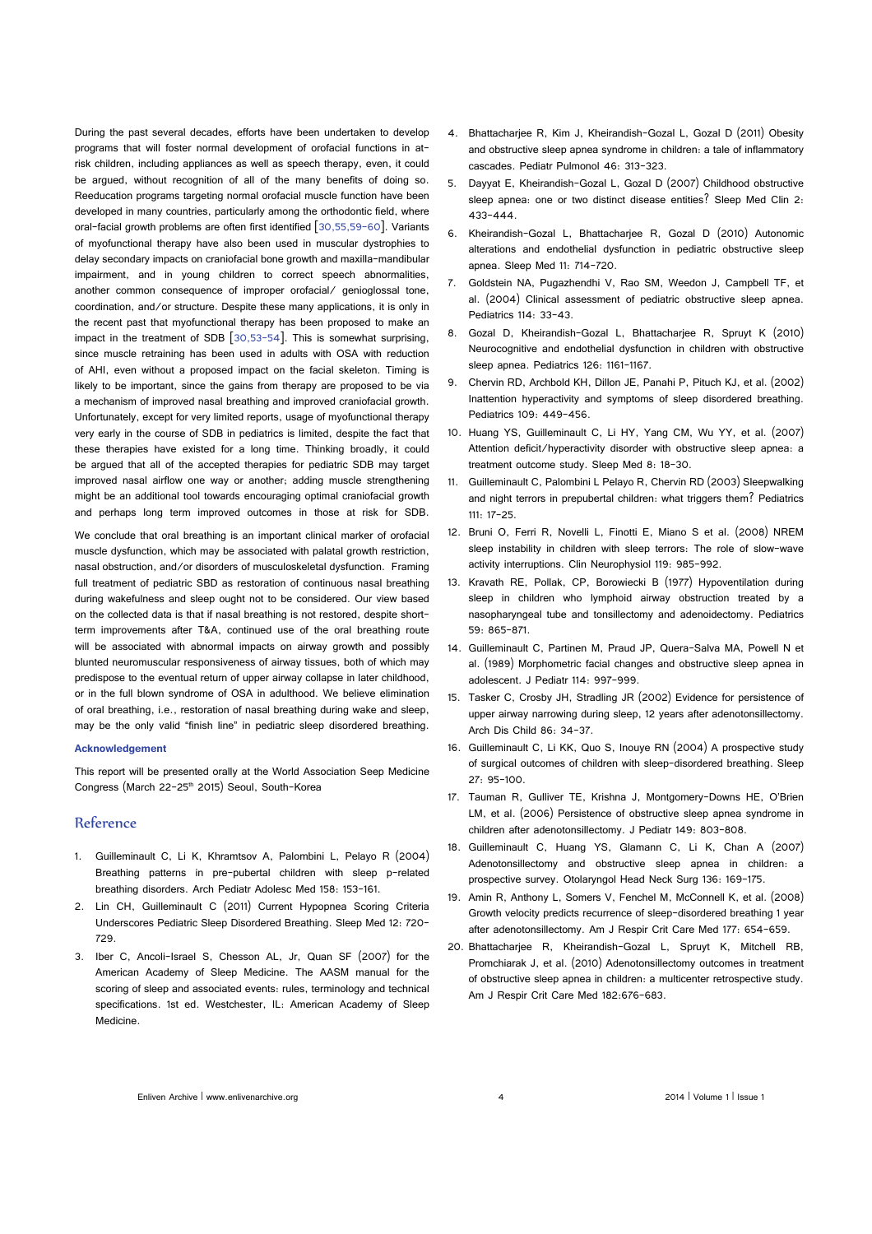During the past several decades, efforts have been undertaken to develop programs that will foster normal development of orofacial functions in atrisk children, including appliances as well as speech therapy, even, it could be argued, without recognition of all of the many benefits of doing so. Reeducation programs targeting normal orofacial muscle function have been developed in many countries, particularly among the orthodontic field, where oral-facial growth problems are often first identified  $\begin{bmatrix} 30,55,59-60 \end{bmatrix}$ . Variants of myofunctional therapy have also been used in muscular dystrophies to delay secondary impacts on craniofacial bone growth and maxilla-mandibular impairment, and in young children to correct speech abnormalities, another common consequence of improper orofacial/ genioglossal tone, coordination, and/or structure. Despite these many applications, it is only in the recent past that myofunctional therapy has been proposed to make an impact in the treatment of SDB [30,53-54]. This is somewhat surprising, since muscle retraining has been used in adults with OSA with reduction of AHI, even without a proposed impact on the facial skeleton. Timing is likely to be important, since the gains from therapy are proposed to be via a mechanism of improved nasal breathing and improved craniofacial growth. Unfortunately, except for very limited reports, usage of myofunctional therapy very early in the course of SDB in pediatrics is limited, despite the fact that these therapies have existed for a long time. Thinking broadly, it could be argued that all of the accepted therapies for pediatric SDB may target improved nasal airflow one way or another; adding muscle strengthening might be an additional tool towards encouraging optimal craniofacial growth and perhaps long term improved outcomes in those at risk for SDB.

We conclude that oral breathing is an important clinical marker of orofacial muscle dysfunction, which may be associated with palatal growth restriction, nasal obstruction, and/or disorders of musculoskeletal dysfunction. Framing full treatment of pediatric SBD as restoration of continuous nasal breathing during wakefulness and sleep ought not to be considered. Our view based on the collected data is that if nasal breathing is not restored, despite shortterm improvements after T&A, continued use of the oral breathing route will be associated with abnormal impacts on airway growth and possibly blunted neuromuscular responsiveness of airway tissues, both of which may predispose to the eventual return of upper airway collapse in later childhood, or in the full blown syndrome of OSA in adulthood. We believe elimination of oral breathing, i.e., restoration of nasal breathing during wake and sleep, may be the only valid "finish line" in pediatric sleep disordered breathing.

#### **Acknowledgement**

This report will be presented orally at the World Association Seep Medicine Congress (March 22-25<sup>th</sup> 2015) Seoul, South-Korea

## Reference

- 1. [Guilleminault C, Li K, Khramtsov A, Palombini L, Pelayo R \(2004\)](http://www.ncbi.nlm.nih.gov/pubmed/14757607)  [Breathing patterns in pre-pubertal children with sleep p-related](http://www.ncbi.nlm.nih.gov/pubmed/14757607) [breathing disorders. Arch Pediatr Adolesc Med 158: 153-161.](http://www.ncbi.nlm.nih.gov/pubmed/14757607)
- 2. [Lin CH, Guilleminault C \(2011\) Current Hypopnea Scoring Criteria](http://www.ncbi.nlm.nih.gov/pubmed/21700494)  [Underscores Pediatric Sleep Disordered Breathing. Sleep Med 12: 720-](http://www.ncbi.nlm.nih.gov/pubmed/21700494) [729.](http://www.ncbi.nlm.nih.gov/pubmed/21700494)
- 3. [Iber C, Ancoli-Israel S, Chesson AL, Jr, Quan SF \(2007\) for the](http://www.aasmnet.org/scoringmanual/)  [American Academy of Sleep Medicine. The AASM manual for the](http://www.aasmnet.org/scoringmanual/)  scoring of sleep and associated events: rules, terminology and technical [specifications. 1st ed. Westchester, IL: American Academy of Sleep](http://www.aasmnet.org/scoringmanual/)  [Medicine.](http://www.aasmnet.org/scoringmanual/)
- 4. [Bhattacharjee R, Kim J, Kheirandish-Gozal L, Gozal D \(2011\) Obesity](http://www.ncbi.nlm.nih.gov/pubmed/20967842) [and obstructive sleep apnea syndrome in children: a tale of inflammatory](http://www.ncbi.nlm.nih.gov/pubmed/20967842) [cascades. Pediatr Pulmonol 46: 313-323.](http://www.ncbi.nlm.nih.gov/pubmed/20967842)
- 5. [Dayyat E, Kheirandish-Gozal L, Gozal D \(2007\) Childhood obstructive](http://www.ncbi.nlm.nih.gov/pubmed/18769509) [sleep apnea: one or two distinct disease entities? Sleep Med Clin 2:](http://www.ncbi.nlm.nih.gov/pubmed/18769509) [433-444.](http://www.ncbi.nlm.nih.gov/pubmed/18769509)
- 6. [Kheirandish-Gozal L, Bhattacharjee R, Gozal D \(2010\) Autonomic](http://www.ncbi.nlm.nih.gov/pubmed/20620107) [alterations and endothelial dysfunction in pediatric obstructive sleep](http://www.ncbi.nlm.nih.gov/pubmed/20620107) [apnea. Sleep Med 11: 714-720.](http://www.ncbi.nlm.nih.gov/pubmed/20620107)
- 7. [Goldstein NA, Pugazhendhi V, Rao SM, Weedon J, Campbell TF, et](http://www.ncbi.nlm.nih.gov/pubmed/15231905) [al. \(2004\) Clinical assessment of pediatric obstructive sleep apnea.](http://www.ncbi.nlm.nih.gov/pubmed/15231905) [Pediatrics 114: 33-43.](http://www.ncbi.nlm.nih.gov/pubmed/15231905)
- 8. [Gozal D, Kheirandish-Gozal L, Bhattacharjee R, Spruyt K \(2010\)](http://www.ncbi.nlm.nih.gov/pubmed/20956420) [Neurocognitive and endothelial dysfunction in children with obstructive](http://www.ncbi.nlm.nih.gov/pubmed/20956420) [sleep apnea. Pediatrics 126: 1161-1167.](http://www.ncbi.nlm.nih.gov/pubmed/20956420)
- 9. [Chervin RD, Archbold KH, Dillon JE, Panahi P, Pituch KJ, et al. \(2002\)](http://www.ncbi.nlm.nih.gov/pubmed/11875140) [Inattention hyperactivity and symptoms of sleep disordered breathing.](http://www.ncbi.nlm.nih.gov/pubmed/11875140) [Pediatrics 109: 449-456.](http://www.ncbi.nlm.nih.gov/pubmed/11875140)
- 10. [Huang YS, Guilleminault C, Li HY, Yang CM, Wu YY, et al. \(2007\)](http://www.ncbi.nlm.nih.gov/pubmed/17157069) [Attention deficit/hyperactivity disorder with obstructive sleep apnea: a](http://www.ncbi.nlm.nih.gov/pubmed/17157069) [treatment outcome study. Sleep Med 8: 18-30.](http://www.ncbi.nlm.nih.gov/pubmed/17157069)
- 11. [Guilleminault C, Palombini L Pelayo R, Chervin RD \(2003\) Sleepwalking](http://www.ncbi.nlm.nih.gov/pubmed/12509590) [and night terrors in prepubertal children: what triggers them? Pediatrics](http://www.ncbi.nlm.nih.gov/pubmed/12509590) [111: 17-25.](http://www.ncbi.nlm.nih.gov/pubmed/12509590)
- 12. [Bruni O, Ferri R, Novelli L, Finotti E, Miano S et al. \(2008\) NREM](http://www.ncbi.nlm.nih.gov/pubmed/18313981) sleep instability in children with sleep terrors. The role of slow-wave [activity interruptions. Clin Neurophysiol 119: 985-992.](http://www.ncbi.nlm.nih.gov/pubmed/18313981)
- 13. [Kravath RE, Pollak, CP, Borowiecki B \(1977\) Hypoventilation during](http://www.ncbi.nlm.nih.gov/pubmed/865938) [sleep in children who lymphoid airway obstruction treated by a](http://www.ncbi.nlm.nih.gov/pubmed/865938) [nasopharyngeal tube and tonsillectomy and adenoidectomy. Pediatrics](http://www.ncbi.nlm.nih.gov/pubmed/865938) [59: 865-871.](http://www.ncbi.nlm.nih.gov/pubmed/865938)
- 14. [Guilleminault C, Partinen M, Praud JP, Quera-Salva MA, Powell N et](http://www.ncbi.nlm.nih.gov/pubmed/2723918) [al. \(1989\) Morphometric facial changes and obstructive sleep apnea in](http://www.ncbi.nlm.nih.gov/pubmed/2723918) [adolescent. J Pediatr 114: 997-999.](http://www.ncbi.nlm.nih.gov/pubmed/2723918)
- 15. [Tasker C, Crosby JH, Stradling JR \(2002\) Evidence for persistence of](http://www.ncbi.nlm.nih.gov/pubmed/11806880) [upper airway narrowing during sleep, 12 years after adenotonsillectomy.](http://www.ncbi.nlm.nih.gov/pubmed/11806880) [Arch Dis Child 86: 34-37.](http://www.ncbi.nlm.nih.gov/pubmed/11806880)
- 16. [Guilleminault C, Li KK, Quo S, Inouye RN \(2004\) A prospective study](http://www.ncbi.nlm.nih.gov/pubmed/14998243) [of surgical outcomes of children with sleep-disordered breathing. Sleep](http://www.ncbi.nlm.nih.gov/pubmed/14998243) [27: 95-100.](http://www.ncbi.nlm.nih.gov/pubmed/14998243)
- 17. [Tauman R, Gulliver TE, Krishna J, Montgomery-Downs HE, O'Brien](http://www.ncbi.nlm.nih.gov/pubmed/17137896) [LM, et al. \(2006\) Persistence of obstructive sleep apnea syndrome in](http://www.ncbi.nlm.nih.gov/pubmed/17137896) [children after adenotonsillectomy. J Pediatr 149: 803-808.](http://www.ncbi.nlm.nih.gov/pubmed/17137896)
- 18. [Guilleminault C, Huang YS, Glamann C, Li K, Chan A \(2007\)](http://www.ncbi.nlm.nih.gov/pubmed/17275534) [Adenotonsillectomy and obstructive sleep apnea in children: a](http://www.ncbi.nlm.nih.gov/pubmed/17275534) [prospective survey. Otolaryngol Head Neck Surg 136: 169-175.](http://www.ncbi.nlm.nih.gov/pubmed/17275534)
- 19. [Amin R, Anthony L, Somers V, Fenchel M, McConnell K, et al. \(2008\)](http://www.ncbi.nlm.nih.gov/pubmed/18174542) [Growth velocity predicts recurrence of sleep-disordered breathing 1 year](http://www.ncbi.nlm.nih.gov/pubmed/18174542) [after adenotonsillectomy. Am J Respir Crit Care Med 177: 654-659.](http://www.ncbi.nlm.nih.gov/pubmed/18174542)
- 20. [Bhattacharjee R, Kheirandish-Gozal L, Spruyt K, Mitchell RB,](http://www.ncbi.nlm.nih.gov/pubmed/18174542) [Promchiarak J, et al. \(2010\) Adenotonsillectomy outcomes in treatment](http://www.ncbi.nlm.nih.gov/pubmed/18174542) [of obstructive sleep apnea in children: a multicenter retrospective study.](http://www.ncbi.nlm.nih.gov/pubmed/18174542) [Am J Respir Crit Care Med 182:676-683.](http://www.ncbi.nlm.nih.gov/pubmed/18174542)